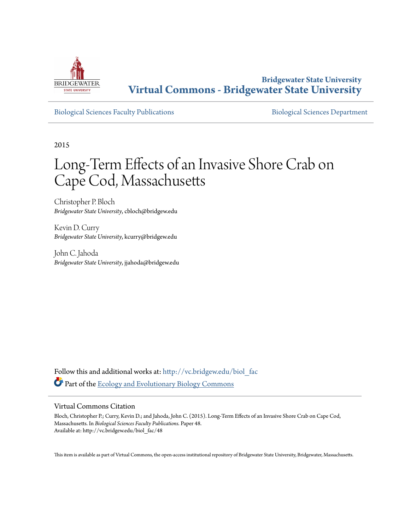

**Bridgewater State University [Virtual Commons - Bridgewater State University](http://vc.bridgew.edu?utm_source=vc.bridgew.edu%2Fbiol_fac%2F48&utm_medium=PDF&utm_campaign=PDFCoverPages)**

[Biological Sciences Faculty Publications](http://vc.bridgew.edu/biol_fac?utm_source=vc.bridgew.edu%2Fbiol_fac%2F48&utm_medium=PDF&utm_campaign=PDFCoverPages) **[Biological Sciences Department](http://vc.bridgew.edu/biol?utm_source=vc.bridgew.edu%2Fbiol_fac%2F48&utm_medium=PDF&utm_campaign=PDFCoverPages)** 

2015

# Long-Term Effects of an Invasive Shore Crab on Cape Cod, Massachusetts

Christopher P. Bloch *Bridgewater State University*, cbloch@bridgew.edu

Kevin D. Curry *Bridgewater State University*, kcurry@bridgew.edu

John C. Jahoda *Bridgewater State University*, jjahoda@bridgew.edu

Follow this and additional works at: [http://vc.bridgew.edu/biol\\_fac](http://vc.bridgew.edu/biol_fac?utm_source=vc.bridgew.edu%2Fbiol_fac%2F48&utm_medium=PDF&utm_campaign=PDFCoverPages) Part of the [Ecology and Evolutionary Biology Commons](http://network.bepress.com/hgg/discipline/14?utm_source=vc.bridgew.edu%2Fbiol_fac%2F48&utm_medium=PDF&utm_campaign=PDFCoverPages)

# Virtual Commons Citation

Bloch, Christopher P.; Curry, Kevin D.; and Jahoda, John C. (2015). Long-Term Effects of an Invasive Shore Crab on Cape Cod, Massachusetts. In *Biological Sciences Faculty Publications.* Paper 48. Available at: http://vc.bridgew.edu/biol\_fac/48

This item is available as part of Virtual Commons, the open-access institutional repository of Bridgewater State University, Bridgewater, Massachusetts.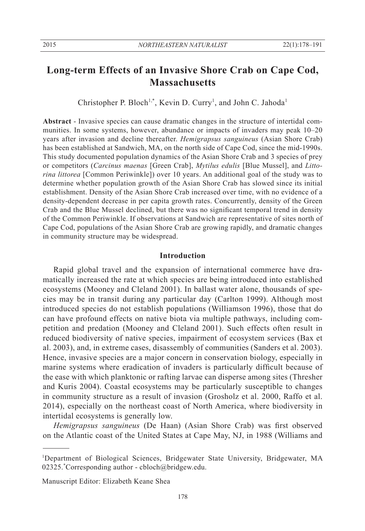# **Long-term Effects of an Invasive Shore Crab on Cape Cod, Massachusetts**

Christopher P. Bloch<sup>1,\*</sup>, Kevin D. Curry<sup>1</sup>, and John C. Jahoda<sup>1</sup>

**Abstract** - Invasive species can cause dramatic changes in the structure of intertidal communities. In some systems, however, abundance or impacts of invaders may peak 10–20 years after invasion and decline thereafter. *Hemigrapsus sanguineus* (Asian Shore Crab) has been established at Sandwich, MA, on the north side of Cape Cod, since the mid-1990s. This study documented population dynamics of the Asian Shore Crab and 3 species of prey or competitors (*Carcinus maenas* [Green Crab], *Mytilus edulis* [Blue Mussel], and *Littorina littorea* [Common Periwinkle]) over 10 years. An additional goal of the study was to determine whether population growth of the Asian Shore Crab has slowed since its initial establishment. Density of the Asian Shore Crab increased over time, with no evidence of a density-dependent decrease in per capita growth rates. Concurrently, density of the Green Crab and the Blue Mussel declined, but there was no significant temporal trend in density of the Common Periwinkle. If observations at Sandwich are representative of sites north of Cape Cod, populations of the Asian Shore Crab are growing rapidly, and dramatic changes in community structure may be widespread.

# **Introduction**

 Rapid global travel and the expansion of international commerce have dramatically increased the rate at which species are being introduced into established ecosystems (Mooney and Cleland 2001). In ballast water alone, thousands of species may be in transit during any particular day (Carlton 1999). Although most introduced species do not establish populations (Williamson 1996), those that do can have profound effects on native biota via multiple pathways, including competition and predation (Mooney and Cleland 2001). Such effects often result in reduced biodiversity of native species, impairment of ecosystem services (Bax et al. 2003), and, in extreme cases, disassembly of communities (Sanders et al. 2003). Hence, invasive species are a major concern in conservation biology, especially in marine systems where eradication of invaders is particularly difficult because of the ease with which planktonic or rafting larvae can disperse among sites (Thresher and Kuris 2004). Coastal ecosystems may be particularly susceptible to changes in community structure as a result of invasion (Grosholz et al. 2000, Raffo et al. 2014), especially on the northeast coast of North America, where biodiversity in intertidal ecosystems is generally low.

*Hemigrapsus sanguineus* (De Haan) (Asian Shore Crab) was first observed on the Atlantic coast of the United States at Cape May, NJ, in 1988 (Williams and

Manuscript Editor: Elizabeth Keane Shea

<sup>1</sup> Department of Biological Sciences, Bridgewater State University, Bridgewater, MA 02325.\* Corresponding author - cbloch@bridgew.edu.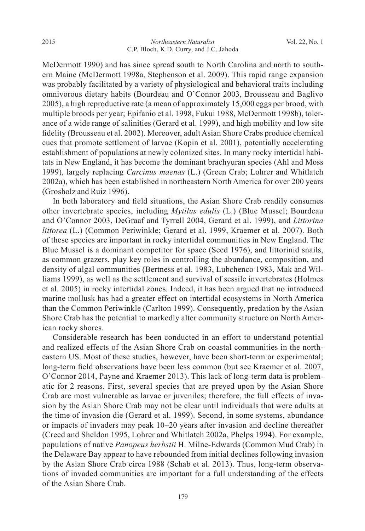McDermott 1990) and has since spread south to North Carolina and north to southern Maine (McDermott 1998a, Stephenson et al. 2009). This rapid range expansion was probably facilitated by a variety of physiological and behavioral traits including omnivorous dietary habits (Bourdeau and O'Connor 2003, Brousseau and Baglivo 2005), a high reproductive rate (a mean of approximately 15,000 eggs per brood, with multiple broods per year; Epifanio et al. 1998, Fukui 1988, McDermott 1998b), tolerance of a wide range of salinities (Gerard et al. 1999), and high mobility and low site fidelity (Brousseau et al. 2002). Moreover, adult Asian Shore Crabs produce chemical cues that promote settlement of larvae (Kopin et al. 2001), potentially accelerating establishment of populations at newly colonized sites. In many rocky intertidal habitats in New England, it has become the dominant brachyuran species (Ahl and Moss 1999), largely replacing *Carcinus maenas* (L.) (Green Crab; Lohrer and Whitlatch 2002a), which has been established in northeastern North America for over 200 years (Grosholz and Ruiz 1996).

 In both laboratory and field situations, the Asian Shore Crab readily consumes other invertebrate species, including *Mytilus edulis* (L.) (Blue Mussel; Bourdeau and O'Connor 2003, DeGraaf and Tyrrell 2004, Gerard et al. 1999), and *Littorina littorea* (L.) (Common Periwinkle; Gerard et al. 1999, Kraemer et al. 2007). Both of these species are important in rocky intertidal communities in New England. The Blue Mussel is a dominant competitor for space (Seed 1976), and littorinid snails, as common grazers, play key roles in controlling the abundance, composition, and density of algal communities (Bertness et al. 1983, Lubchenco 1983, Mak and Williams 1999), as well as the settlement and survival of sessile invertebrates (Holmes et al. 2005) in rocky intertidal zones. Indeed, it has been argued that no introduced marine mollusk has had a greater effect on intertidal ecosystems in North America than the Common Periwinkle (Carlton 1999). Consequently, predation by the Asian Shore Crab has the potential to markedly alter community structure on North American rocky shores.

 Considerable research has been conducted in an effort to understand potential and realized effects of the Asian Shore Crab on coastal communities in the northeastern US. Most of these studies, however, have been short-term or experimental; long-term field observations have been less common (but see Kraemer et al. 2007, O'Connor 2014, Payne and Kraemer 2013). This lack of long-term data is problematic for 2 reasons. First, several species that are preyed upon by the Asian Shore Crab are most vulnerable as larvae or juveniles; therefore, the full effects of invasion by the Asian Shore Crab may not be clear until individuals that were adults at the time of invasion die (Gerard et al. 1999). Second, in some systems, abundance or impacts of invaders may peak 10–20 years after invasion and decline thereafter (Creed and Sheldon 1995, Lohrer and Whitlatch 2002a, Phelps 1994). For example, populations of native *Panopeus herbstii* H. Milne-Edwards (Common Mud Crab) in the Delaware Bay appear to have rebounded from initial declines following invasion by the Asian Shore Crab circa 1988 (Schab et al. 2013). Thus, long-term observations of invaded communities are important for a full understanding of the effects of the Asian Shore Crab.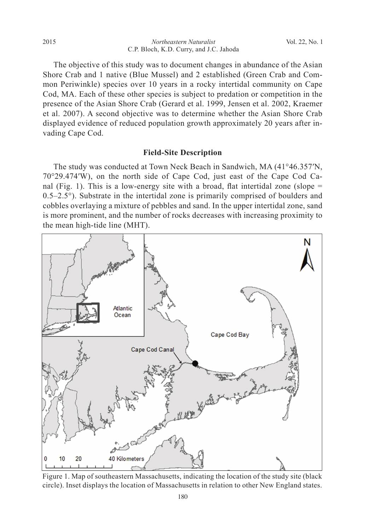*Northeastern Naturalist* C.P. Bloch, K.D. Curry, and J.C. Jahoda 2015 Vol. 22, No. 1

 The objective of this study was to document changes in abundance of the Asian Shore Crab and 1 native (Blue Mussel) and 2 established (Green Crab and Common Periwinkle) species over 10 years in a rocky intertidal community on Cape Cod, MA. Each of these other species is subject to predation or competition in the presence of the Asian Shore Crab (Gerard et al. 1999, Jensen et al. 2002, Kraemer et al. 2007). A second objective was to determine whether the Asian Shore Crab displayed evidence of reduced population growth approximately 20 years after invading Cape Cod.

# **Field-Site Description**

 The study was conducted at Town Neck Beach in Sandwich, MA (41°46.357ʹN, 70°29.474ʹW), on the north side of Cape Cod, just east of the Cape Cod Canal (Fig. 1). This is a low-energy site with a broad, flat intertidal zone (slope  $=$ 0.5–2.5°). Substrate in the intertidal zone is primarily comprised of boulders and cobbles overlaying a mixture of pebbles and sand. In the upper intertidal zone, sand is more prominent, and the number of rocks decreases with increasing proximity to the mean high-tide line (MHT).



Figure 1. Map of southeastern Massachusetts, indicating the location of the study site (black circle). Inset displays the location of Massachusetts in relation to other New England states.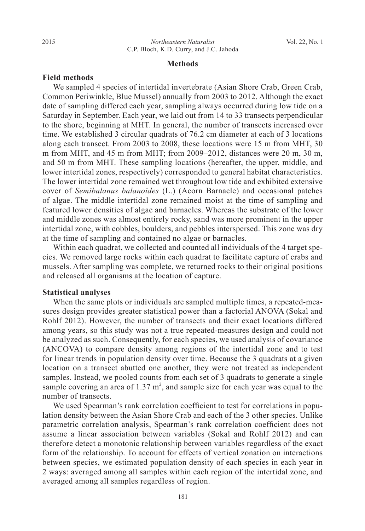#### **Methods**

#### **Field methods**

 We sampled 4 species of intertidal invertebrate (Asian Shore Crab, Green Crab, Common Periwinkle, Blue Mussel) annually from 2003 to 2012. Although the exact date of sampling differed each year, sampling always occurred during low tide on a Saturday in September. Each year, we laid out from 14 to 33 transects perpendicular to the shore, beginning at MHT. In general, the number of transects increased over time. We established 3 circular quadrats of 76.2 cm diameter at each of 3 locations along each transect. From 2003 to 2008, these locations were 15 m from MHT, 30 m from MHT, and 45 m from MHT; from 2009–2012, distances were 20 m, 30 m, and 50 m from MHT. These sampling locations (hereafter, the upper, middle, and lower intertidal zones, respectively) corresponded to general habitat characteristics. The lower intertidal zone remained wet throughout low tide and exhibited extensive cover of *Semibalanus balanoides* (L.) (Acorn Barnacle) and occasional patches of algae. The middle intertidal zone remained moist at the time of sampling and featured lower densities of algae and barnacles. Whereas the substrate of the lower and middle zones was almost entirely rocky, sand was more prominent in the upper intertidal zone, with cobbles, boulders, and pebbles interspersed. This zone was dry at the time of sampling and contained no algae or barnacles.

 Within each quadrat, we collected and counted all individuals of the 4 target species. We removed large rocks within each quadrat to facilitate capture of crabs and mussels. After sampling was complete, we returned rocks to their original positions and released all organisms at the location of capture.

#### **Statistical analyses**

 When the same plots or individuals are sampled multiple times, a repeated-measures design provides greater statistical power than a factorial ANOVA (Sokal and Rohlf 2012). However, the number of transects and their exact locations differed among years, so this study was not a true repeated-measures design and could not be analyzed as such. Consequently, for each species, we used analysis of covariance (ANCOVA) to compare density among regions of the intertidal zone and to test for linear trends in population density over time. Because the 3 quadrats at a given location on a transect abutted one another, they were not treated as independent samples. Instead, we pooled counts from each set of 3 quadrats to generate a single sample covering an area of  $1.37 \text{ m}^2$ , and sample size for each year was equal to the number of transects.

 We used Spearman's rank correlation coefficient to test for correlations in population density between the Asian Shore Crab and each of the 3 other species. Unlike parametric correlation analysis, Spearman's rank correlation coefficient does not assume a linear association between variables (Sokal and Rohlf 2012) and can therefore detect a monotonic relationship between variables regardless of the exact form of the relationship. To account for effects of vertical zonation on interactions between species, we estimated population density of each species in each year in 2 ways: averaged among all samples within each region of the intertidal zone, and averaged among all samples regardless of region.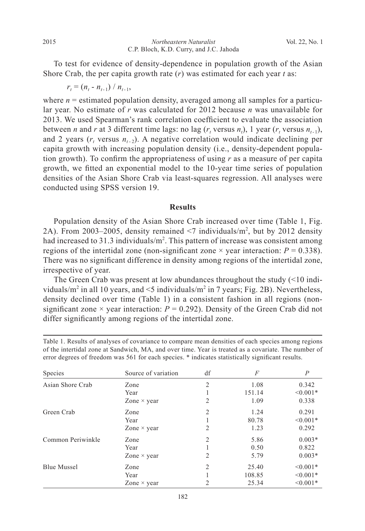To test for evidence of density-dependence in population growth of the Asian Shore Crab, the per capita growth rate (*r*) was estimated for each year *t* as:

 $r_t = (n_t - n_{t-1}) / n_{t-1},$ 

where  $n =$  estimated population density, averaged among all samples for a particular year. No estimate of *r* was calculated for 2012 because *n* was unavailable for 2013. We used Spearman's rank correlation coefficient to evaluate the association between *n* and *r* at 3 different time lags: no lag ( $r_t$  versus  $n_t$ ), 1 year ( $r_t$  versus  $n_{t-1}$ ), and 2 years  $(r_t$  versus  $n_{t-2}$ ). A negative correlation would indicate declining per capita growth with increasing population density (i.e., density-dependent population growth). To confirm the appropriateness of using *r* as a measure of per capita growth, we fitted an exponential model to the 10-year time series of population densities of the Asian Shore Crab via least-squares regression. All analyses were conducted using SPSS version 19.

# **Results**

 Population density of the Asian Shore Crab increased over time (Table 1, Fig. 2A). From 2003–2005, density remained  $\leq 7$  individuals/m<sup>2</sup>, but by 2012 density had increased to 31.3 individuals/ $m^2$ . This pattern of increase was consistent among regions of the intertidal zone (non-significant zone  $\times$  year interaction:  $P = 0.338$ ). There was no significant difference in density among regions of the intertidal zone, irrespective of year.

The Green Crab was present at low abundances throughout the study (<10 individuals/m<sup>2</sup> in all 10 years, and  $\leq$ 5 individuals/m<sup>2</sup> in 7 years; Fig. 2B). Nevertheless, density declined over time (Table 1) in a consistent fashion in all regions (nonsignificant zone  $\times$  year interaction:  $P = 0.292$ ). Density of the Green Crab did not differ significantly among regions of the intertidal zone.

| Table 1. Results of analyses of covariance to compare mean densities of each species among regions   |  |
|------------------------------------------------------------------------------------------------------|--|
| of the intertidal zone at Sandwich, MA, and over time. Year is treated as a covariate. The number of |  |
| error degrees of freedom was 561 for each species. * indicates statistically significant results.    |  |

| Species            | Source of variation                                                              | df             | F      | $\overline{P}$ |
|--------------------|----------------------------------------------------------------------------------|----------------|--------|----------------|
| Asian Shore Crab   | Zone                                                                             | 2              | 1.08   | 0.342          |
|                    | Year                                                                             |                | 151.14 | $< 0.001*$     |
|                    | Zone $\times$ year                                                               | 2              | 1.09   | 0.338          |
| Green Crab         | Zone                                                                             | $\overline{2}$ | 1.24   | 0.291          |
|                    | Year<br>Zone $\times$ year<br>Zone<br>Year<br>Zone $\times$ year<br>Zone<br>Year |                | 80.78  | $< 0.001*$     |
|                    |                                                                                  | 2              | 1.23   | 0.292          |
| Common Periwinkle  |                                                                                  | 2              | 5.86   | $0.003*$       |
|                    |                                                                                  |                | 0.50   | 0.822          |
|                    |                                                                                  | 2              | 5.79   | $0.003*$       |
| <b>Blue Mussel</b> |                                                                                  | 2              | 25.40  | $< 0.001*$     |
|                    |                                                                                  |                | 108.85 | $< 0.001*$     |
|                    | Zone $\times$ year                                                               | 2              | 25.34  | $< 0.001*$     |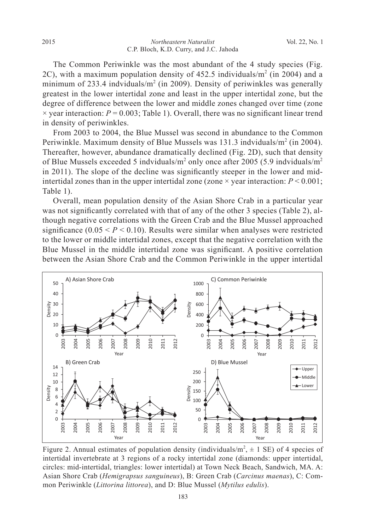The Common Periwinkle was the most abundant of the 4 study species (Fig. 2C), with a maximum population density of  $452.5$  individuals/m<sup>2</sup> (in 2004) and a minimum of 233.4 indviduals/ $m^2$  (in 2009). Density of periwinkles was generally greatest in the lower intertidal zone and least in the upper intertidal zone, but the degree of difference between the lower and middle zones changed over time (zone  $\times$  year interaction:  $P = 0.003$ ; Table 1). Overall, there was no significant linear trend in density of periwinkles.

 From 2003 to 2004, the Blue Mussel was second in abundance to the Common Periwinkle. Maximum density of Blue Mussels was 131.3 indviduals/m<sup>2</sup> (in 2004). Thereafter, however, abundance dramatically declined (Fig. 2D), such that density of Blue Mussels exceeded 5 indviduals/ $m^2$  only once after 2005 (5.9 indviduals/ $m^2$ in 2011). The slope of the decline was significantly steeper in the lower and midintertidal zones than in the upper intertidal zone (zone  $\times$  year interaction:  $P \le 0.001$ ; Table 1).

 Overall, mean population density of the Asian Shore Crab in a particular year was not significantly correlated with that of any of the other 3 species (Table 2), although negative correlations with the Green Crab and the Blue Mussel approached significance  $(0.05 \le P \le 0.10)$ . Results were similar when analyses were restricted to the lower or middle intertidal zones, except that the negative correlation with the Blue Mussel in the middle intertidal zone was significant. A positive correlation between the Asian Shore Crab and the Common Periwinkle in the upper intertidal



Figure 2. Annual estimates of population density (individuals/ $m^2$ ,  $\pm$  1 SE) of 4 species of intertidal invertebrate at 3 regions of a rocky intertidal zone (diamonds: upper intertidal, circles: mid-intertidal, triangles: lower intertidal) at Town Neck Beach, Sandwich, MA. A: Asian Shore Crab (*Hemigrapsus sanguineus*), B: Green Crab (*Carcinus maenas*), C: Common Periwinkle (*Littorina littorea*), and D: Blue Mussel (*Mytilus edulis*).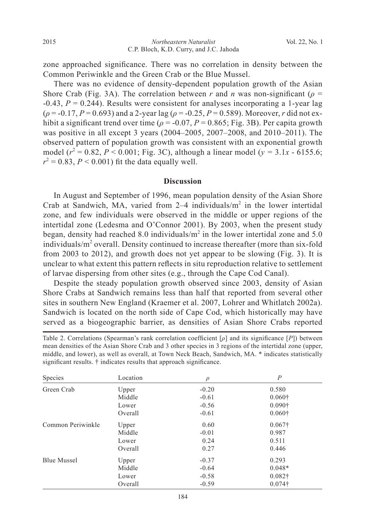zone approached significance. There was no correlation in density between the Common Periwinkle and the Green Crab or the Blue Mussel.

 There was no evidence of density-dependent population growth of the Asian Shore Crab (Fig. 3A). The correlation between *r* and *n* was non-significant ( $\rho$  = -0.43, *P* = 0.244). Results were consistent for analyses incorporating a 1-year lag (*ρ* = -0.17, *P* = 0.693) and a 2-year lag (*ρ* = -0.25, *P* = 0.589). Moreover, *r* did not exhibit a significant trend over time ( $\rho = -0.07$ ,  $P = 0.865$ ; Fig. 3B). Per capita growth was positive in all except 3 years (2004–2005, 2007–2008, and 2010–2011). The observed pattern of population growth was consistent with an exponential growth model ( $r^2 = 0.82$ ,  $P < 0.001$ ; Fig. 3C), although a linear model ( $y = 3.1x - 6155.6$ ;  $r^2 = 0.83$ ,  $P < 0.001$ ) fit the data equally well.

#### **Discussion**

 In August and September of 1996, mean population density of the Asian Shore Crab at Sandwich, MA, varied from  $2-4$  individuals/ $m<sup>2</sup>$  in the lower intertidal zone, and few individuals were observed in the middle or upper regions of the intertidal zone (Ledesma and O'Connor 2001). By 2003, when the present study began, density had reached 8.0 individuals/ $m<sup>2</sup>$  in the lower intertidal zone and 5.0 individuals/m<sup>2</sup> overall. Density continued to increase thereafter (more than six-fold from 2003 to 2012), and growth does not yet appear to be slowing (Fig. 3). It is unclear to what extent this pattern reflects in situ reproduction relative to settlement of larvae dispersing from other sites (e.g., through the Cape Cod Canal).

 Despite the steady population growth observed since 2003, density of Asian Shore Crabs at Sandwich remains less than half that reported from several other sites in southern New England (Kraemer et al. 2007, Lohrer and Whitlatch 2002a). Sandwich is located on the north side of Cape Cod, which historically may have served as a biogeographic barrier, as densities of Asian Shore Crabs reported

Table 2. Correlations (Spearman's rank correlation coefficient [*ρ*] and its significance [*P*]) between mean densities of the Asian Shore Crab and 3 other species in 3 regions of the intertidal zone (upper, middle, and lower), as well as overall, at Town Neck Beach, Sandwich, MA. \* indicates statistically significant results. † indicates results that approach significance.

| Species            | Location | ρ       | $\boldsymbol{P}$ |
|--------------------|----------|---------|------------------|
| Green Crab         | Upper    | $-0.20$ | 0.580            |
|                    | Middle   | $-0.61$ | $0.060\dagger$   |
|                    | Lower    | $-0.56$ | $0.090\dagger$   |
|                    | Overall  | $-0.61$ | $0.060\dagger$   |
| Common Periwinkle  | Upper    | 0.60    | $0.067\dagger$   |
|                    | Middle   | $-0.01$ | 0.987            |
|                    | Lower    | 0.24    | 0.511            |
|                    | Overall  | 0.27    | 0.446            |
| <b>Blue Mussel</b> | Upper    | $-0.37$ | 0.293            |
|                    | Middle   | $-0.64$ | $0.048*$         |
|                    | Lower    | $-0.58$ | $0.082\dagger$   |
|                    | Overall  | $-0.59$ | $0.074\dagger$   |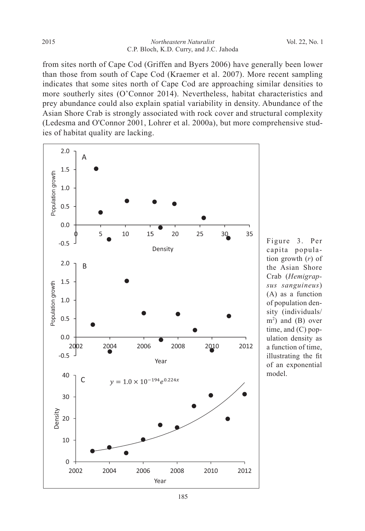from sites north of Cape Cod (Griffen and Byers 2006) have generally been lower than those from south of Cape Cod (Kraemer et al. 2007). More recent sampling indicates that some sites north of Cape Cod are approaching similar densities to more southerly sites (O'Connor 2014). Nevertheless, habitat characteristics and prey abundance could also explain spatial variability in density. Abundance of the Asian Shore Crab is strongly associated with rock cover and structural complexity (Ledesma and O'Connor 2001, Lohrer et al. 2000a), but more comprehensive studies of habitat quality are lacking.



Figure 3. Per capita population growth (*r*) of the Asian Shore Crab (*Hemigrapsus sanguineus*) (A) as a function of population density (individuals/  $m<sup>2</sup>$ ) and (B) over time, and (C) population density as a function of time, illustrating the fit of an exponential model.

185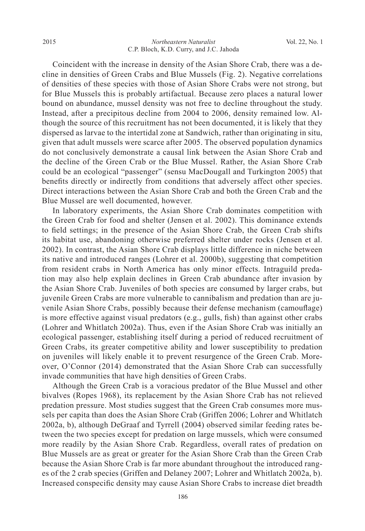Coincident with the increase in density of the Asian Shore Crab, there was a decline in densities of Green Crabs and Blue Mussels (Fig. 2). Negative correlations of densities of these species with those of Asian Shore Crabs were not strong, but for Blue Mussels this is probably artifactual. Because zero places a natural lower bound on abundance, mussel density was not free to decline throughout the study. Instead, after a precipitous decline from 2004 to 2006, density remained low. Although the source of this recruitment has not been documented, it is likely that they dispersed as larvae to the intertidal zone at Sandwich, rather than originating in situ, given that adult mussels were scarce after 2005. The observed population dynamics do not conclusively demonstrate a causal link between the Asian Shore Crab and the decline of the Green Crab or the Blue Mussel. Rather, the Asian Shore Crab could be an ecological "passenger" (sensu MacDougall and Turkington 2005) that benefits directly or indirectly from conditions that adversely affect other species. Direct interactions between the Asian Shore Crab and both the Green Crab and the Blue Mussel are well documented, however.

 In laboratory experiments, the Asian Shore Crab dominates competition with the Green Crab for food and shelter (Jensen et al. 2002). This dominance extends to field settings; in the presence of the Asian Shore Crab, the Green Crab shifts its habitat use, abandoning otherwise preferred shelter under rocks (Jensen et al. 2002). In contrast, the Asian Shore Crab displays little difference in niche between its native and introduced ranges (Lohrer et al. 2000b), suggesting that competition from resident crabs in North America has only minor effects. Intraguild predation may also help explain declines in Green Crab abundance after invasion by the Asian Shore Crab. Juveniles of both species are consumed by larger crabs, but juvenile Green Crabs are more vulnerable to cannibalism and predation than are juvenile Asian Shore Crabs, possibly because their defense mechanism (camouflage) is more effective against visual predators (e.g., gulls, fish) than against other crabs (Lohrer and Whitlatch 2002a). Thus, even if the Asian Shore Crab was initially an ecological passenger, establishing itself during a period of reduced recruitment of Green Crabs, its greater competitive ability and lower susceptibility to predation on juveniles will likely enable it to prevent resurgence of the Green Crab. Moreover, O'Connor (2014) demonstrated that the Asian Shore Crab can successfully invade communities that have high densities of Green Crabs.

 Although the Green Crab is a voracious predator of the Blue Mussel and other bivalves (Ropes 1968), its replacement by the Asian Shore Crab has not relieved predation pressure. Most studies suggest that the Green Crab consumes more mussels per capita than does the Asian Shore Crab (Griffen 2006; Lohrer and Whitlatch 2002a, b), although DeGraaf and Tyrrell (2004) observed similar feeding rates between the two species except for predation on large mussels, which were consumed more readily by the Asian Shore Crab. Regardless, overall rates of predation on Blue Mussels are as great or greater for the Asian Shore Crab than the Green Crab because the Asian Shore Crab is far more abundant throughout the introduced ranges of the 2 crab species (Griffen and Delaney 2007; Lohrer and Whitlatch 2002a, b). Increased conspecific density may cause Asian Shore Crabs to increase diet breadth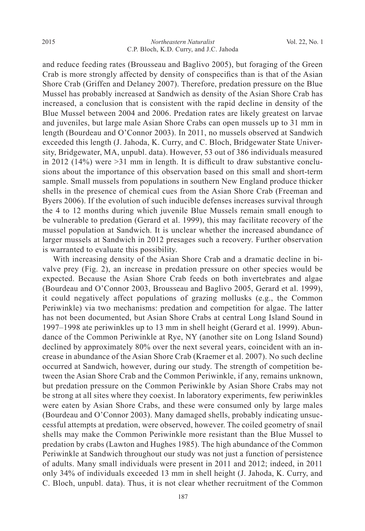and reduce feeding rates (Brousseau and Baglivo 2005), but foraging of the Green Crab is more strongly affected by density of conspecifics than is that of the Asian Shore Crab (Griffen and Delaney 2007). Therefore, predation pressure on the Blue Mussel has probably increased at Sandwich as density of the Asian Shore Crab has increased, a conclusion that is consistent with the rapid decline in density of the Blue Mussel between 2004 and 2006. Predation rates are likely greatest on larvae and juveniles, but large male Asian Shore Crabs can open mussels up to 31 mm in length (Bourdeau and O'Connor 2003). In 2011, no mussels observed at Sandwich exceeded this length (J. Jahoda, K. Curry, and C. Bloch, Bridgewater State University, Bridgewater, MA, unpubl. data). However, 53 out of 386 individuals measured in 2012 (14%) were  $>31$  mm in length. It is difficult to draw substantive conclusions about the importance of this observation based on this small and short-term sample. Small mussels from populations in southern New England produce thicker shells in the presence of chemical cues from the Asian Shore Crab (Freeman and Byers 2006). If the evolution of such inducible defenses increases survival through the 4 to 12 months during which juvenile Blue Mussels remain small enough to be vulnerable to predation (Gerard et al. 1999), this may facilitate recovery of the mussel population at Sandwich. It is unclear whether the increased abundance of larger mussels at Sandwich in 2012 presages such a recovery. Further observation is warranted to evaluate this possibility.

 With increasing density of the Asian Shore Crab and a dramatic decline in bivalve prey (Fig. 2), an increase in predation pressure on other species would be expected. Because the Asian Shore Crab feeds on both invertebrates and algae (Bourdeau and O'Connor 2003, Brousseau and Baglivo 2005, Gerard et al. 1999), it could negatively affect populations of grazing mollusks (e.g., the Common Periwinkle) via two mechanisms: predation and competition for algae. The latter has not been documented, but Asian Shore Crabs at central Long Island Sound in 1997–1998 ate periwinkles up to 13 mm in shell height (Gerard et al. 1999). Abundance of the Common Periwinkle at Rye, NY (another site on Long Island Sound) declined by approximately 80% over the next several years, coincident with an increase in abundance of the Asian Shore Crab (Kraemer et al. 2007). No such decline occurred at Sandwich, however, during our study. The strength of competition between the Asian Shore Crab and the Common Periwinkle, if any, remains unknown, but predation pressure on the Common Periwinkle by Asian Shore Crabs may not be strong at all sites where they coexist. In laboratory experiments, few periwinkles were eaten by Asian Shore Crabs, and these were consumed only by large males (Bourdeau and O'Connor 2003). Many damaged shells, probably indicating unsuccessful attempts at predation, were observed, however. The coiled geometry of snail shells may make the Common Periwinkle more resistant than the Blue Mussel to predation by crabs (Lawton and Hughes 1985). The high abundance of the Common Periwinkle at Sandwich throughout our study was not just a function of persistence of adults. Many small individuals were present in 2011 and 2012; indeed, in 2011 only 34% of individuals exceeded 13 mm in shell height (J. Jahoda, K. Curry, and C. Bloch, unpubl. data). Thus, it is not clear whether recruitment of the Common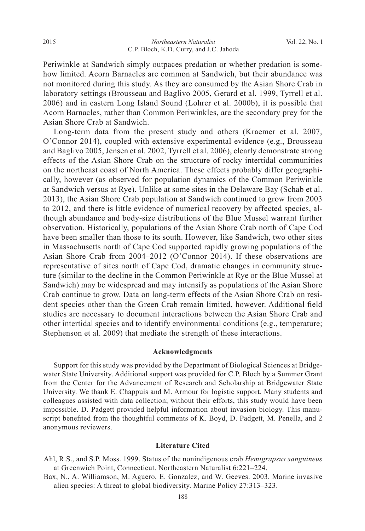Periwinkle at Sandwich simply outpaces predation or whether predation is somehow limited. Acorn Barnacles are common at Sandwich, but their abundance was not monitored during this study. As they are consumed by the Asian Shore Crab in laboratory settings (Brousseau and Baglivo 2005, Gerard et al. 1999, Tyrrell et al. 2006) and in eastern Long Island Sound (Lohrer et al. 2000b), it is possible that Acorn Barnacles, rather than Common Periwinkles, are the secondary prey for the Asian Shore Crab at Sandwich.

 Long-term data from the present study and others (Kraemer et al. 2007, O'Connor 2014), coupled with extensive experimental evidence (e.g., Brousseau and Baglivo 2005, Jensen et al. 2002, Tyrrell et al. 2006), clearly demonstrate strong effects of the Asian Shore Crab on the structure of rocky intertidal communities on the northeast coast of North America. These effects probably differ geographically, however (as observed for population dynamics of the Common Periwinkle at Sandwich versus at Rye). Unlike at some sites in the Delaware Bay (Schab et al. 2013), the Asian Shore Crab population at Sandwich continued to grow from 2003 to 2012, and there is little evidence of numerical recovery by affected species, although abundance and body-size distributions of the Blue Mussel warrant further observation. Historically, populations of the Asian Shore Crab north of Cape Cod have been smaller than those to its south. However, like Sandwich, two other sites in Massachusetts north of Cape Cod supported rapidly growing populations of the Asian Shore Crab from 2004–2012 (O'Connor 2014). If these observations are representative of sites north of Cape Cod, dramatic changes in community structure (similar to the decline in the Common Periwinkle at Rye or the Blue Mussel at Sandwich) may be widespread and may intensify as populations of the Asian Shore Crab continue to grow. Data on long-term effects of the Asian Shore Crab on resident species other than the Green Crab remain limited, however. Additional field studies are necessary to document interactions between the Asian Shore Crab and other intertidal species and to identify environmental conditions (e.g., temperature; Stephenson et al. 2009) that mediate the strength of these interactions.

#### **Acknowledgments**

 Support for this study was provided by the Department of Biological Sciences at Bridgewater State University. Additional support was provided for C.P. Bloch by a Summer Grant from the Center for the Advancement of Research and Scholarship at Bridgewater State University. We thank E. Chappuis and M. Armour for logistic support. Many students and colleagues assisted with data collection; without their efforts, this study would have been impossible. D. Padgett provided helpful information about invasion biology. This manuscript benefited from the thoughtful comments of K. Boyd, D. Padgett, M. Penella, and 2 anonymous reviewers.

#### **Literature Cited**

Ahl, R.S., and S.P. Moss. 1999. Status of the nonindigenous crab *Hemigrapsus sanguineus* at Greenwich Point, Connecticut. Northeastern Naturalist 6:221–224.

Bax, N., A. Williamson, M. Aguero, E. Gonzalez, and W. Geeves. 2003. Marine invasive alien species: A threat to global biodiversity. Marine Policy 27:313–323.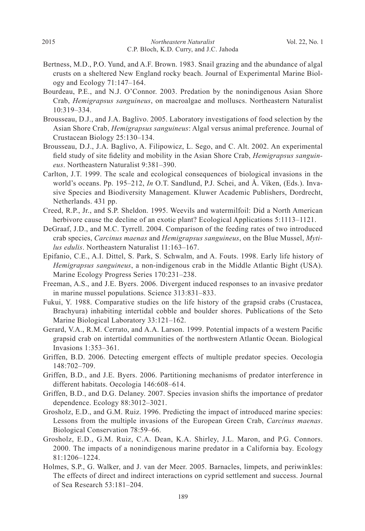- Bertness, M.D., P.O. Yund, and A.F. Brown. 1983. Snail grazing and the abundance of algal crusts on a sheltered New England rocky beach. Journal of Experimental Marine Biology and Ecology 71:147–164.
- Bourdeau, P.E., and N.J. O'Connor. 2003. Predation by the nonindigenous Asian Shore Crab, *Hemigrapsus sanguineus*, on macroalgae and molluscs. Northeastern Naturalist 10:319–334.
- Brousseau, D.J., and J.A. Baglivo. 2005. Laboratory investigations of food selection by the Asian Shore Crab, *Hemigrapsus sanguineus*: Algal versus animal preference. Journal of Crustacean Biology 25:130–134.
- Brousseau, D.J., J.A. Baglivo, A. Filipowicz, L. Sego, and C. Alt. 2002. An experimental field study of site fidelity and mobility in the Asian Shore Crab, *Hemigrapsus sanguineus*. Northeastern Naturalist 9:381–390.
- Carlton, J.T. 1999. The scale and ecological consequences of biological invasions in the world's oceans. Pp. 195–212, *In* O.T. Sandlund, P.J. Schei, and Å. Viken, (Eds.). Invasive Species and Biodiversity Management. Kluwer Academic Publishers, Dordrecht, Netherlands. 431 pp.
- Creed, R.P., Jr., and S.P. Sheldon. 1995. Weevils and watermilfoil: Did a North American herbivore cause the decline of an exotic plant? Ecological Applications 5:1113–1121.
- DeGraaf, J.D., and M.C. Tyrrell. 2004. Comparison of the feeding rates of two introduced crab species, *Carcinus maenas* and *Hemigrapsus sanguineus*, on the Blue Mussel, *Mytilus edulis*. Northeastern Naturalist 11:163–167.
- Epifanio, C.E., A.I. Dittel, S. Park, S. Schwalm, and A. Fouts. 1998. Early life history of *Hemigrapsus sanguineus*, a non-indigenous crab in the Middle Atlantic Bight (USA). Marine Ecology Progress Series 170:231–238.
- Freeman, A.S., and J.E. Byers. 2006. Divergent induced responses to an invasive predator in marine mussel populations. Science 313:831–833.
- Fukui, Y. 1988. Comparative studies on the life history of the grapsid crabs (Crustacea, Brachyura) inhabiting intertidal cobble and boulder shores. Publications of the Seto Marine Biological Laboratory 33:121–162.
- Gerard, V.A., R.M. Cerrato, and A.A. Larson. 1999. Potential impacts of a western Pacific grapsid crab on intertidal communities of the northwestern Atlantic Ocean. Biological Invasions 1:353–361.
- Griffen, B.D. 2006. Detecting emergent effects of multiple predator species. Oecologia 148:702–709.
- Griffen, B.D., and J.E. Byers. 2006. Partitioning mechanisms of predator interference in different habitats. Oecologia 146:608–614.
- Griffen, B.D., and D.G. Delaney. 2007. Species invasion shifts the importance of predator dependence. Ecology 88:3012–3021.
- Grosholz, E.D., and G.M. Ruiz. 1996. Predicting the impact of introduced marine species: Lessons from the multiple invasions of the European Green Crab, *Carcinus maenas*. Biological Conservation 78:59–66.
- Grosholz, E.D., G.M. Ruiz, C.A. Dean, K.A. Shirley, J.L. Maron, and P.G. Connors. 2000. The impacts of a nonindigenous marine predator in a California bay. Ecology 81:1206–1224.
- Holmes, S.P., G. Walker, and J. van der Meer. 2005. Barnacles, limpets, and periwinkles: The effects of direct and indirect interactions on cyprid settlement and success. Journal of Sea Research 53:181–204.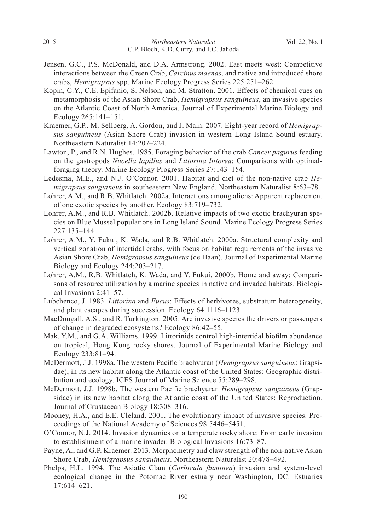- Jensen, G.C., P.S. McDonald, and D.A. Armstrong. 2002. East meets west: Competitive interactions between the Green Crab, *Carcinus maenas*, and native and introduced shore crabs, *Hemigrapsus* spp. Marine Ecology Progress Series 225:251–262.
- Kopin, C.Y., C.E. Epifanio, S. Nelson, and M. Stratton. 2001. Effects of chemical cues on metamorphosis of the Asian Shore Crab, *Hemigrapsus sanguineus*, an invasive species on the Atlantic Coast of North America. Journal of Experimental Marine Biology and Ecology 265:141–151.
- Kraemer, G.P., M. Sellberg, A. Gordon, and J. Main. 2007. Eight-year record of *Hemigrapsus sanguineus* (Asian Shore Crab) invasion in western Long Island Sound estuary. Northeastern Naturalist 14:207–224.
- Lawton, P., and R.N. Hughes. 1985. Foraging behavior of the crab *Cancer pagurus* feeding on the gastropods *Nucella lapillus* and *Littorina littorea*: Comparisons with optimalforaging theory. Marine Ecology Progress Series 27:143–154.
- Ledesma, M.E., and N.J. O'Connor. 2001. Habitat and diet of the non-native crab *Hemigrapsus sanguineus* in southeastern New England. Northeastern Naturalist 8:63–78.
- Lohrer, A.M., and R.B. Whitlatch. 2002a. Interactions among aliens: Apparent replacement of one exotic species by another. Ecology 83:719–732.
- Lohrer, A.M., and R.B. Whitlatch. 2002b. Relative impacts of two exotic brachyuran species on Blue Mussel populations in Long Island Sound. Marine Ecology Progress Series 227:135–144.
- Lohrer, A.M., Y. Fukui, K. Wada, and R.B. Whitlatch. 2000a. Structural complexity and vertical zonation of intertidal crabs, with focus on habitat requirements of the invasive Asian Shore Crab, *Hemigrapsus sanguineus* (de Haan). Journal of Experimental Marine Biology and Ecology 244:203–217.
- Lohrer, A.M., R.B. Whitlatch, K. Wada, and Y. Fukui. 2000b. Home and away: Comparisons of resource utilization by a marine species in native and invaded habitats. Biological Invasions 2:41–57.
- Lubchenco, J. 1983. *Littorina* and *Fucus*: Effects of herbivores, substratum heterogeneity, and plant escapes during succession. Ecology 64:1116–1123.
- MacDougall, A.S., and R. Turkington. 2005. Are invasive species the drivers or passengers of change in degraded ecosystems? Ecology 86:42–55.
- Mak, Y.M., and G.A. Williams. 1999. Littorinids control high-intertidal biofilm abundance on tropical, Hong Kong rocky shores. Journal of Experimental Marine Biology and Ecology 233:81–94.
- McDermott, J.J. 1998a. The western Pacific brachyuran (*Hemigrapsus sanguineus*: Grapsidae), in its new habitat along the Atlantic coast of the United States: Geographic distribution and ecology. ICES Journal of Marine Science 55:289–298.
- McDermott, J.J. 1998b. The western Pacific brachyuran *Hemigrapsus sanguineus* (Grapsidae) in its new habitat along the Atlantic coast of the United States: Reproduction. Journal of Crustacean Biology 18:308–316.
- Mooney, H.A., and E.E. Cleland. 2001. The evolutionary impact of invasive species. Proceedings of the National Academy of Sciences 98:5446–5451.
- O'Connor, N.J. 2014. Invasion dynamics on a temperate rocky shore: From early invasion to establishment of a marine invader. Biological Invasions 16:73–87.
- Payne, A., and G.P. Kraemer. 2013. Morphometry and claw strength of the non-native Asian Shore Crab, *Hemigrapsus sanguineus*. Northeastern Naturalist 20:478–492.
- Phelps, H.L. 1994. The Asiatic Clam (*Corbicula fluminea*) invasion and system-level ecological change in the Potomac River estuary near Washington, DC. Estuaries 17:614–621.